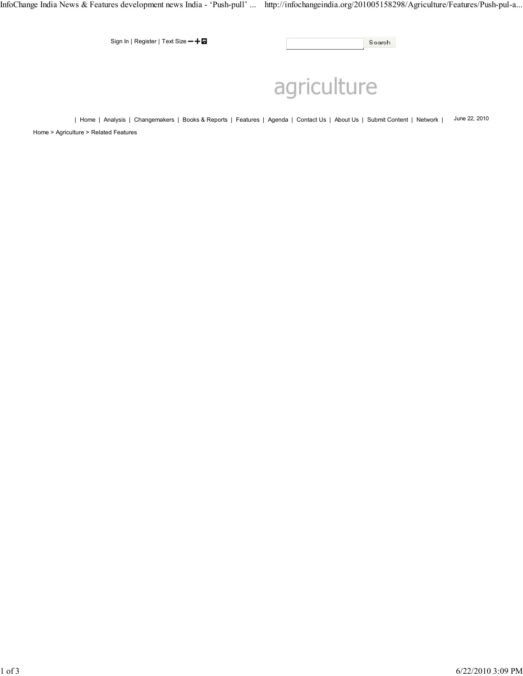InfoChange India News & Features development news India - 'Push-pull' ... http://infochangeindia.org/201005158298/Agriculture/Features/Push-pul-a...

Sign In | Register | Text Size + +  $\blacksquare$ 

Search

# agriculture

| Home | Analysis | Changemakers | Books & Reports | Features | Agenda | Contact Us | About Us | Submit Content | Network | June 22, 2010 Home > Agriculture > Related Features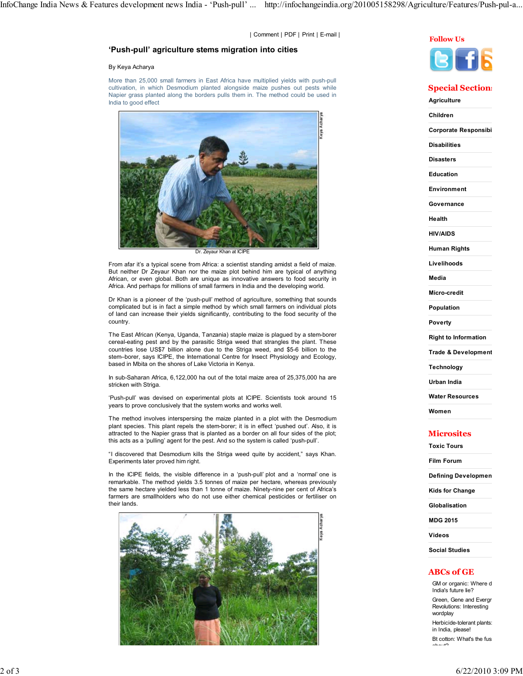| Comment | PDF | Print | E-mail | Follow Us

## 'Push-pull' agriculture stems migration into cities

#### By Keya Acharya

More than 25,000 small farmers in East Africa have multiplied yields with push-pull cultivation, in which Desmodium planted alongside maize pushes out pests while Napier grass planted along the borders pulls them in. The method could be used in India to good effect



Dr. Zeyaur Khan at ICIP

From afar it's a typical scene from Africa: a scientist standing amidst a field of maize. But neither Dr Zeyaur Khan nor the maize plot behind him are typical of anything African, or even global. Both are unique as innovative answers to food security in Africa. And perhaps for millions of small farmers in India and the developing world.

Dr Khan is a pioneer of the 'push-pull' method of agriculture, something that sounds complicated but is in fact a simple method by which small farmers on individual plots of land can increase their yields significantly, contributing to the food security of the country.

The East African (Kenya, Uganda, Tanzania) staple maize is plagued by a stem-borer cereal-eating pest and by the parasitic Striga weed that strangles the plant. These countries lose US\$7 billion alone due to the Striga weed, and \$5-6 billion to the stem–borer, says ICIPE, the International Centre for Insect Physiology and Ecology, based in Mbita on the shores of Lake Victoria in Kenya.

In sub-Saharan Africa, 6,122,000 ha out of the total maize area of 25,375,000 ha are stricken with Striga.

'Push-pull' was devised on experimental plots at ICIPE. Scientists took around 15 years to prove conclusively that the system works and works well.

The method involves interspersing the maize planted in a plot with the Desmodium plant species. This plant repels the stem-borer; it is in effect 'pushed out'. Also, it is attracted to the Napier grass that is planted as a border on all four sides of the plot; this acts as a 'pulling' agent for the pest. And so the system is called 'push-pull'.

"I discovered that Desmodium kills the Striga weed quite by accident," says Khan. Experiments later proved him right.

In the ICIPE fields, the visible difference in a 'push-pull' plot and a 'normal' one is remarkable. The method yields 3.5 tonnes of maize per hectare, whereas previously the same hectare yielded less than 1 tonne of maize. Ninety-nine per cent of Africa's farmers are smallholders who do not use either chemical pesticides or fertiliser on their lands.





## **Special Sections**

**Agriculture** Children Corporate Responsibi Disabilities Disasters Education Environment **Governance** Health HIV/AIDS Human Rights Livelihoods Media Micro-credit Population Poverty Right to Information

Trade & Development

Technology

Urban India

Water Resources

Women

## **Microsites**

Toxic Tours

Film Forum

Defining Developmen

Kids for Change

Globalisation

MDG 2015

Videos

Social Studies

### ABCs of GE

GM or organic: Where d India's future lie?

Green, Gene and Evergr Revolutions: Interesting wordplay

Herbicide-tolerant plants: in India, please!

Bt cotton: What's the fus

about?